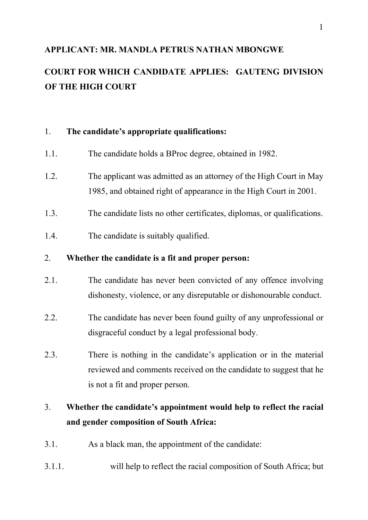## **APPLICANT: MR. MANDLA PETRUS NATHAN MBONGWE**

# **COURT FOR WHICH CANDIDATE APPLIES: GAUTENG DIVISION OF THE HIGH COURT**

### 1. **The candidate's appropriate qualifications:**

- 1.1. The candidate holds a BProc degree, obtained in 1982.
- 1.2. The applicant was admitted as an attorney of the High Court in May 1985, and obtained right of appearance in the High Court in 2001.
- 1.3. The candidate lists no other certificates, diplomas, or qualifications.
- 1.4. The candidate is suitably qualified.

## 2. **Whether the candidate is a fit and proper person:**

- 2.1. The candidate has never been convicted of any offence involving dishonesty, violence, or any disreputable or dishonourable conduct.
- 2.2. The candidate has never been found guilty of any unprofessional or disgraceful conduct by a legal professional body.
- 2.3. There is nothing in the candidate's application or in the material reviewed and comments received on the candidate to suggest that he is not a fit and proper person.

## 3. **Whether the candidate's appointment would help to reflect the racial and gender composition of South Africa:**

- 3.1. As a black man, the appointment of the candidate:
- 3.1.1. will help to reflect the racial composition of South Africa; but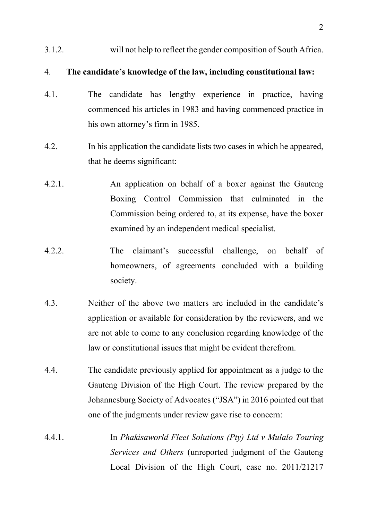3.1.2. will not help to reflect the gender composition of South Africa.

## 4. **The candidate's knowledge of the law, including constitutional law:**

- 4.1. The candidate has lengthy experience in practice, having commenced his articles in 1983 and having commenced practice in his own attorney's firm in 1985.
- 4.2. In his application the candidate lists two cases in which he appeared, that he deems significant:
- 4.2.1. An application on behalf of a boxer against the Gauteng Boxing Control Commission that culminated in the Commission being ordered to, at its expense, have the boxer examined by an independent medical specialist.
- 4.2.2. The claimant's successful challenge, on behalf of homeowners, of agreements concluded with a building society.
- 4.3. Neither of the above two matters are included in the candidate's application or available for consideration by the reviewers, and we are not able to come to any conclusion regarding knowledge of the law or constitutional issues that might be evident therefrom.
- 4.4. The candidate previously applied for appointment as a judge to the Gauteng Division of the High Court. The review prepared by the Johannesburg Society of Advocates ("JSA") in 2016 pointed out that one of the judgments under review gave rise to concern:
- 4.4.1. In *Phakisaworld Fleet Solutions (Pty) Ltd v Mulalo Touring Services and Others* (unreported judgment of the Gauteng Local Division of the High Court, case no. 2011/21217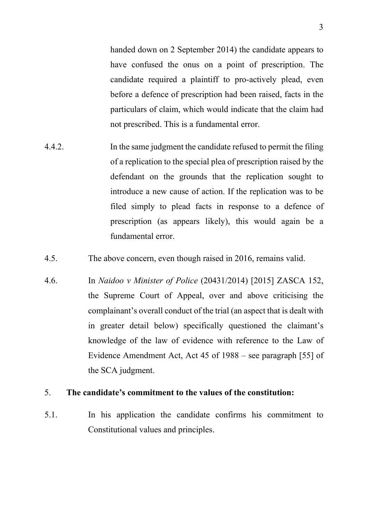handed down on 2 September 2014) the candidate appears to have confused the onus on a point of prescription. The candidate required a plaintiff to pro-actively plead, even before a defence of prescription had been raised, facts in the particulars of claim, which would indicate that the claim had not prescribed. This is a fundamental error.

- 4.4.2. In the same judgment the candidate refused to permit the filing of a replication to the special plea of prescription raised by the defendant on the grounds that the replication sought to introduce a new cause of action. If the replication was to be filed simply to plead facts in response to a defence of prescription (as appears likely), this would again be a fundamental error.
- 4.5. The above concern, even though raised in 2016, remains valid.
- 4.6. In *Naidoo v Minister of Police* (20431/2014) [2015] ZASCA 152, the Supreme Court of Appeal, over and above criticising the complainant's overall conduct of the trial (an aspect that is dealt with in greater detail below) specifically questioned the claimant's knowledge of the law of evidence with reference to the Law of Evidence Amendment Act, Act 45 of 1988 – see paragraph [55] of the SCA judgment.

### 5. **The candidate's commitment to the values of the constitution:**

5.1. In his application the candidate confirms his commitment to Constitutional values and principles.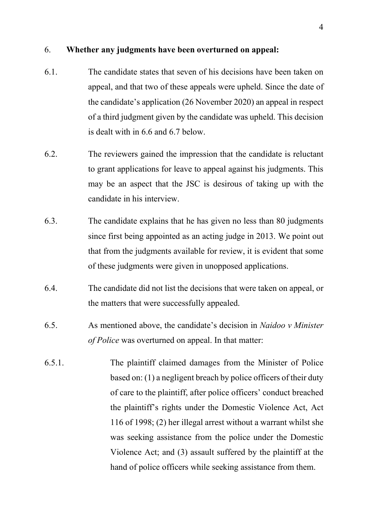#### 6. **Whether any judgments have been overturned on appeal:**

- 6.1. The candidate states that seven of his decisions have been taken on appeal, and that two of these appeals were upheld. Since the date of the candidate's application (26 November 2020) an appeal in respect of a third judgment given by the candidate was upheld. This decision is dealt with in 6.6 and 6.7 below.
- 6.2. The reviewers gained the impression that the candidate is reluctant to grant applications for leave to appeal against his judgments. This may be an aspect that the JSC is desirous of taking up with the candidate in his interview.
- 6.3. The candidate explains that he has given no less than 80 judgments since first being appointed as an acting judge in 2013. We point out that from the judgments available for review, it is evident that some of these judgments were given in unopposed applications.
- 6.4. The candidate did not list the decisions that were taken on appeal, or the matters that were successfully appealed.
- 6.5. As mentioned above, the candidate's decision in *Naidoo v Minister of Police* was overturned on appeal. In that matter:
- 6.5.1. The plaintiff claimed damages from the Minister of Police based on: (1) a negligent breach by police officers of their duty of care to the plaintiff, after police officers' conduct breached the plaintiff's rights under the Domestic Violence Act, Act 116 of 1998; (2) her illegal arrest without a warrant whilst she was seeking assistance from the police under the Domestic Violence Act; and (3) assault suffered by the plaintiff at the hand of police officers while seeking assistance from them.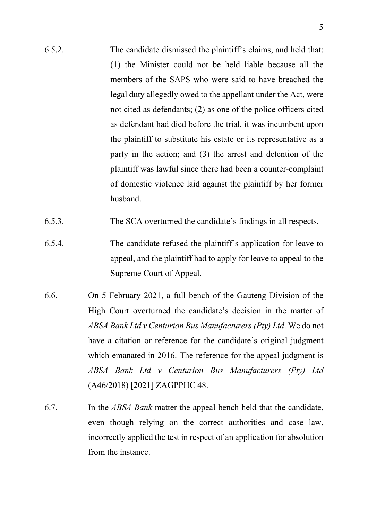- 6.5.2. The candidate dismissed the plaintiff's claims, and held that: (1) the Minister could not be held liable because all the members of the SAPS who were said to have breached the legal duty allegedly owed to the appellant under the Act, were not cited as defendants; (2) as one of the police officers cited as defendant had died before the trial, it was incumbent upon the plaintiff to substitute his estate or its representative as a party in the action; and (3) the arrest and detention of the plaintiff was lawful since there had been a counter-complaint of domestic violence laid against the plaintiff by her former husband.
- 6.5.3. The SCA overturned the candidate's findings in all respects.
- 6.5.4. The candidate refused the plaintiff's application for leave to appeal, and the plaintiff had to apply for leave to appeal to the Supreme Court of Appeal.
- 6.6. On 5 February 2021, a full bench of the Gauteng Division of the High Court overturned the candidate's decision in the matter of *ABSA Bank Ltd v Centurion Bus Manufacturers (Pty) Ltd*. We do not have a citation or reference for the candidate's original judgment which emanated in 2016. The reference for the appeal judgment is *ABSA Bank Ltd v Centurion Bus Manufacturers (Pty) Ltd*  (A46/2018) [2021] ZAGPPHC 48.
- 6.7. In the *ABSA Bank* matter the appeal bench held that the candidate, even though relying on the correct authorities and case law, incorrectly applied the test in respect of an application for absolution from the instance.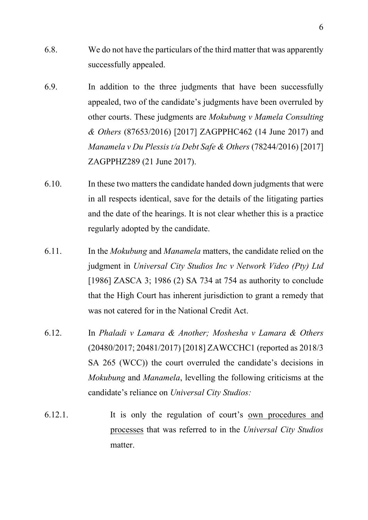- 6.8. We do not have the particulars of the third matter that was apparently successfully appealed.
- 6.9. In addition to the three judgments that have been successfully appealed, two of the candidate's judgments have been overruled by other courts. These judgments are *Mokubung v Mamela Consulting & Others* (87653/2016) [2017] ZAGPPHC462 (14 June 2017) and *Manamela v Du Plessis t/a Debt Safe & Others* (78244/2016) [2017] ZAGPPHZ289 (21 June 2017).
- 6.10. In these two matters the candidate handed down judgments that were in all respects identical, save for the details of the litigating parties and the date of the hearings. It is not clear whether this is a practice regularly adopted by the candidate.
- 6.11. In the *Mokubung* and *Manamela* matters, the candidate relied on the judgment in *Universal City Studios Inc v Network Video (Pty) Ltd* [1986] ZASCA 3; 1986 (2) SA 734 at 754 as authority to conclude that the High Court has inherent jurisdiction to grant a remedy that was not catered for in the National Credit Act.
- 6.12. In *Phaladi v Lamara & Another; Moshesha v Lamara & Others* (20480/2017; 20481/2017) [2018] ZAWCCHC1 (reported as 2018/3 SA 265 (WCC)) the court overruled the candidate's decisions in *Mokubung* and *Manamela*, levelling the following criticisms at the candidate's reliance on *Universal City Studios:*
- 6.12.1. It is only the regulation of court's own procedures and processes that was referred to in the *Universal City Studios* matter.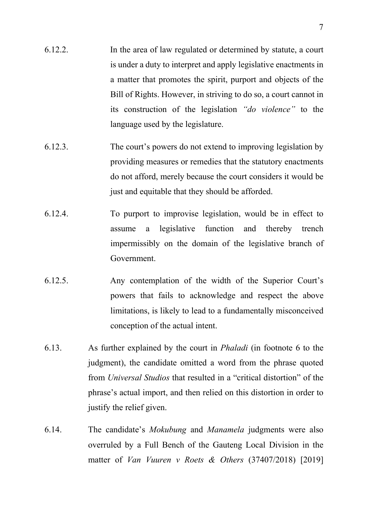- 6.12.2. In the area of law regulated or determined by statute, a court is under a duty to interpret and apply legislative enactments in a matter that promotes the spirit, purport and objects of the Bill of Rights. However, in striving to do so, a court cannot in its construction of the legislation *"do violence"* to the language used by the legislature.
- 6.12.3. The court's powers do not extend to improving legislation by providing measures or remedies that the statutory enactments do not afford, merely because the court considers it would be just and equitable that they should be afforded.
- 6.12.4. To purport to improvise legislation, would be in effect to assume a legislative function and thereby trench impermissibly on the domain of the legislative branch of Government.
- 6.12.5. Any contemplation of the width of the Superior Court's powers that fails to acknowledge and respect the above limitations, is likely to lead to a fundamentally misconceived conception of the actual intent.
- 6.13. As further explained by the court in *Phaladi* (in footnote 6 to the judgment), the candidate omitted a word from the phrase quoted from *Universal Studios* that resulted in a "critical distortion" of the phrase's actual import, and then relied on this distortion in order to justify the relief given.
- 6.14. The candidate's *Mokubung* and *Manamela* judgments were also overruled by a Full Bench of the Gauteng Local Division in the matter of *Van Vuuren v Roets & Others* (37407/2018) [2019]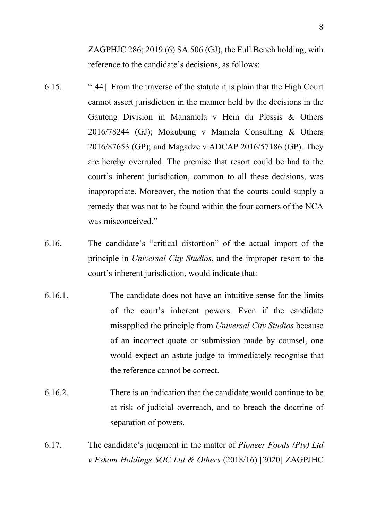ZAGPHJC 286; 2019 (6) SA 506 (GJ), the Full Bench holding, with reference to the candidate's decisions, as follows:

- 6.15. "[44] From the traverse of the statute it is plain that the High Court cannot assert jurisdiction in the manner held by the decisions in the Gauteng Division in Manamela v Hein du Plessis & Others 2016/78244 (GJ); Mokubung v Mamela Consulting & Others 2016/87653 (GP); and Magadze v ADCAP 2016/57186 (GP). They are hereby overruled. The premise that resort could be had to the court's inherent jurisdiction, common to all these decisions, was inappropriate. Moreover, the notion that the courts could supply a remedy that was not to be found within the four corners of the NCA was misconceived."
- 6.16. The candidate's "critical distortion" of the actual import of the principle in *Universal City Studios*, and the improper resort to the court's inherent jurisdiction, would indicate that:
- 6.16.1. The candidate does not have an intuitive sense for the limits of the court's inherent powers. Even if the candidate misapplied the principle from *Universal City Studios* because of an incorrect quote or submission made by counsel, one would expect an astute judge to immediately recognise that the reference cannot be correct.
- 6.16.2. There is an indication that the candidate would continue to be at risk of judicial overreach, and to breach the doctrine of separation of powers.
- 6.17. The candidate's judgment in the matter of *Pioneer Foods (Pty) Ltd v Eskom Holdings SOC Ltd & Others* (2018/16) [2020] ZAGPJHC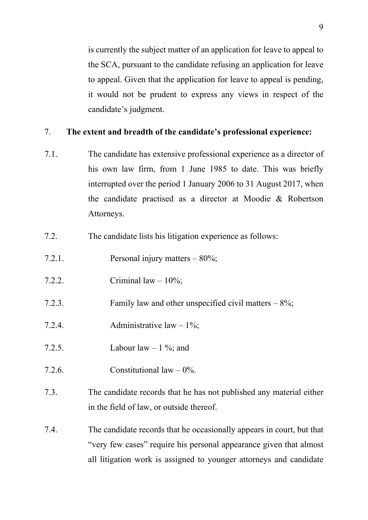is currently the subject matter of an application for leave to appeal to the SCA, pursuant to the candidate refusing an application for leave to appeal. Given that the application for leave to appeal is pending, it would not be prudent to express any views in respect of the candidate's judgment.

## 7. **The extent and breadth of the candidate's professional experience:**

- 7.1. The candidate has extensive professional experience as a director of his own law firm, from 1 June 1985 to date. This was briefly interrupted over the period 1 January 2006 to 31 August 2017, when the candidate practised as a director at Moodie & Robertson Attorneys.
- 7.2. The candidate lists his litigation experience as follows:
- 7.2.1. Personal injury matters 80%;
- 7.2.2. Criminal  $law 10\%$ ;
- 7.2.3. Family law and other unspecified civil matters 8%;
- 7.2.4. Administrative law 1%;
- 7.2.5. Labour law  $-1\%$ ; and
- 7.2.6. Constitutional law  $-0\%$ .
- 7.3. The candidate records that he has not published any material either in the field of law, or outside thereof.
- 7.4. The candidate records that he occasionally appears in court, but that "very few cases" require his personal appearance given that almost all litigation work is assigned to younger attorneys and candidate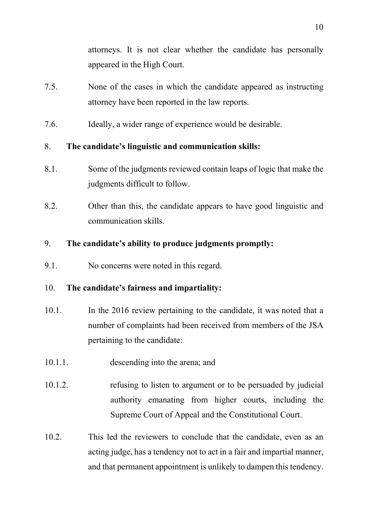attorneys. It is not clear whether the candidate has personally appeared in the High Court.

- 7.5. None of the cases in which the candidate appeared as instructing attorney have been reported in the law reports.
- 7.6. Ideally, a wider range of experience would be desirable.

## 8. **The candidate's linguistic and communication skills:**

- 8.1. Some of the judgments reviewed contain leaps of logic that make the judgments difficult to follow.
- 8.2. Other than this, the candidate appears to have good linguistic and communication skills.

## 9. **The candidate's ability to produce judgments promptly:**

9.1. No concerns were noted in this regard.

## 10. **The candidate's fairness and impartiality:**

- 10.1. In the 2016 review pertaining to the candidate, it was noted that a number of complaints had been received from members of the JSA pertaining to the candidate:
- 10.1.1. descending into the arena; and
- 10.1.2. refusing to listen to argument or to be persuaded by judicial authority emanating from higher courts, including the Supreme Court of Appeal and the Constitutional Court.
- 10.2. This led the reviewers to conclude that the candidate, even as an acting judge, has a tendency not to act in a fair and impartial manner, and that permanent appointment is unlikely to dampen this tendency.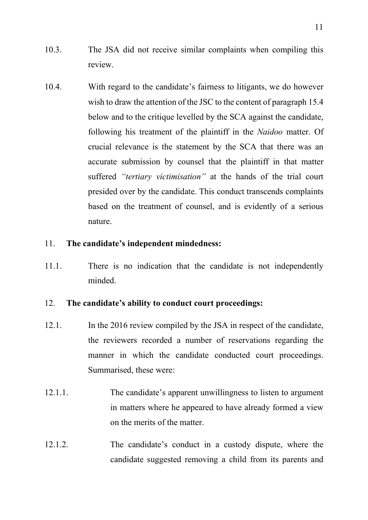- 10.3. The JSA did not receive similar complaints when compiling this review.
- 10.4. With regard to the candidate's fairness to litigants, we do however wish to draw the attention of the JSC to the content of paragraph 15.4 below and to the critique levelled by the SCA against the candidate, following his treatment of the plaintiff in the *Naidoo* matter. Of crucial relevance is the statement by the SCA that there was an accurate submission by counsel that the plaintiff in that matter suffered *"tertiary victimisation"* at the hands of the trial court presided over by the candidate. This conduct transcends complaints based on the treatment of counsel, and is evidently of a serious nature.

## 11. **The candidate's independent mindedness:**

11.1. There is no indication that the candidate is not independently minded.

## 12. **The candidate's ability to conduct court proceedings:**

- 12.1. In the 2016 review compiled by the JSA in respect of the candidate, the reviewers recorded a number of reservations regarding the manner in which the candidate conducted court proceedings. Summarised, these were:
- 12.1.1. The candidate's apparent unwillingness to listen to argument in matters where he appeared to have already formed a view on the merits of the matter.
- 12.1.2. The candidate's conduct in a custody dispute, where the candidate suggested removing a child from its parents and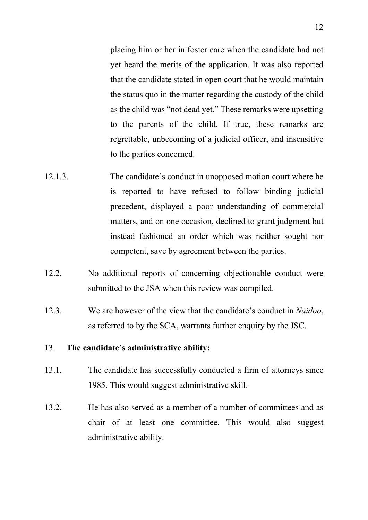placing him or her in foster care when the candidate had not yet heard the merits of the application. It was also reported that the candidate stated in open court that he would maintain the status quo in the matter regarding the custody of the child as the child was "not dead yet." These remarks were upsetting to the parents of the child. If true, these remarks are regrettable, unbecoming of a judicial officer, and insensitive to the parties concerned.

- 12.1.3. The candidate's conduct in unopposed motion court where he is reported to have refused to follow binding judicial precedent, displayed a poor understanding of commercial matters, and on one occasion, declined to grant judgment but instead fashioned an order which was neither sought nor competent, save by agreement between the parties.
- 12.2. No additional reports of concerning objectionable conduct were submitted to the JSA when this review was compiled.
- 12.3. We are however of the view that the candidate's conduct in *Naidoo*, as referred to by the SCA, warrants further enquiry by the JSC.

#### 13. **The candidate's administrative ability:**

- 13.1. The candidate has successfully conducted a firm of attorneys since 1985. This would suggest administrative skill.
- 13.2. He has also served as a member of a number of committees and as chair of at least one committee. This would also suggest administrative ability.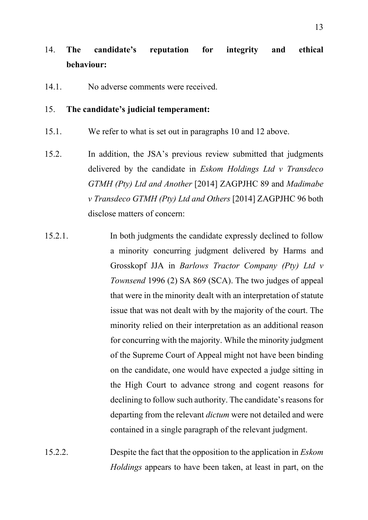# 14. **The candidate's reputation for integrity and ethical behaviour:**

14.1. No adverse comments were received.

## 15. **The candidate's judicial temperament:**

- 15.1. We refer to what is set out in paragraphs 10 and 12 above.
- 15.2. In addition, the JSA's previous review submitted that judgments delivered by the candidate in *Eskom Holdings Ltd v Transdeco GTMH (Pty) Ltd and Another* [2014] ZAGPJHC 89 and *Madimabe v Transdeco GTMH (Pty) Ltd and Others* [2014] ZAGPJHC 96 both disclose matters of concern:
- 15.2.1. In both judgments the candidate expressly declined to follow a minority concurring judgment delivered by Harms and Grosskopf JJA in *Barlows Tractor Company (Pty) Ltd v Townsend* 1996 (2) SA 869 (SCA). The two judges of appeal that were in the minority dealt with an interpretation of statute issue that was not dealt with by the majority of the court. The minority relied on their interpretation as an additional reason for concurring with the majority. While the minority judgment of the Supreme Court of Appeal might not have been binding on the candidate, one would have expected a judge sitting in the High Court to advance strong and cogent reasons for declining to follow such authority. The candidate's reasons for departing from the relevant *dictum* were not detailed and were contained in a single paragraph of the relevant judgment.
- 15.2.2. Despite the fact that the opposition to the application in *Eskom Holdings* appears to have been taken, at least in part, on the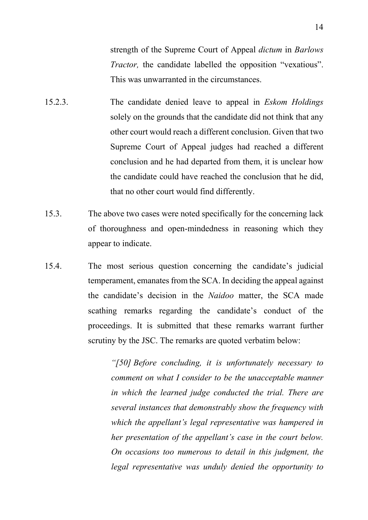strength of the Supreme Court of Appeal *dictum* in *Barlows Tractor*, the candidate labelled the opposition "vexatious". This was unwarranted in the circumstances.

- 15.2.3. The candidate denied leave to appeal in *Eskom Holdings*  solely on the grounds that the candidate did not think that any other court would reach a different conclusion. Given that two Supreme Court of Appeal judges had reached a different conclusion and he had departed from them, it is unclear how the candidate could have reached the conclusion that he did, that no other court would find differently.
- 15.3. The above two cases were noted specifically for the concerning lack of thoroughness and open-mindedness in reasoning which they appear to indicate.
- 15.4. The most serious question concerning the candidate's judicial temperament, emanates from the SCA. In deciding the appeal against the candidate's decision in the *Naidoo* matter, the SCA made scathing remarks regarding the candidate's conduct of the proceedings. It is submitted that these remarks warrant further scrutiny by the JSC. The remarks are quoted verbatim below:

*"[50] Before concluding, it is unfortunately necessary to comment on what I consider to be the unacceptable manner in which the learned judge conducted the trial. There are several instances that demonstrably show the frequency with which the appellant's legal representative was hampered in her presentation of the appellant's case in the court below. On occasions too numerous to detail in this judgment, the legal representative was unduly denied the opportunity to*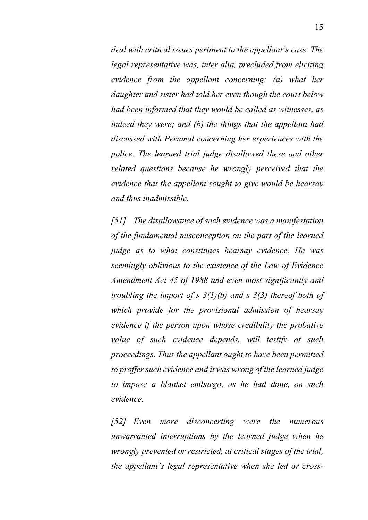*deal with critical issues pertinent to the appellant's case. The legal representative was, inter alia, precluded from eliciting evidence from the appellant concerning: (a) what her daughter and sister had told her even though the court below had been informed that they would be called as witnesses, as indeed they were; and (b) the things that the appellant had discussed with Perumal concerning her experiences with the police. The learned trial judge disallowed these and other related questions because he wrongly perceived that the evidence that the appellant sought to give would be hearsay and thus inadmissible.* 

*[51] The disallowance of such evidence was a manifestation of the fundamental misconception on the part of the learned judge as to what constitutes hearsay evidence. He was seemingly oblivious to the existence of the Law of Evidence Amendment Act 45 of 1988 and even most significantly and troubling the import of s 3(1)(b) and s 3(3) thereof both of which provide for the provisional admission of hearsay evidence if the person upon whose credibility the probative value of such evidence depends, will testify at such proceedings. Thus the appellant ought to have been permitted to proffer such evidence and it was wrong of the learned judge to impose a blanket embargo, as he had done, on such evidence.*

*[52] Even more disconcerting were the numerous unwarranted interruptions by the learned judge when he wrongly prevented or restricted, at critical stages of the trial, the appellant's legal representative when she led or cross-*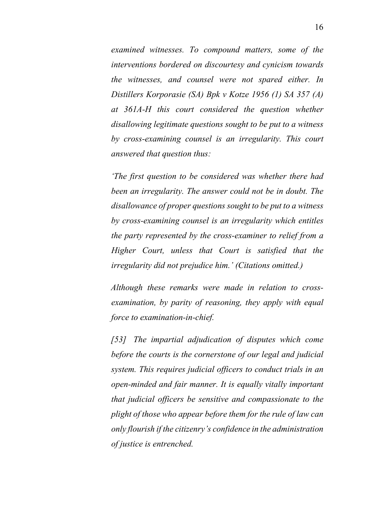*examined witnesses. To compound matters, some of the interventions bordered on discourtesy and cynicism towards the witnesses, and counsel were not spared either. In Distillers Korporasie (SA) Bpk v Kotze 1956 (1) SA 357 (A) at 361A-H this court considered the question whether disallowing legitimate questions sought to be put to a witness by cross-examining counsel is an irregularity. This court answered that question thus:*

*'The first question to be considered was whether there had been an irregularity. The answer could not be in doubt. The disallowance of proper questions sought to be put to a witness by cross-examining counsel is an irregularity which entitles the party represented by the cross-examiner to relief from a Higher Court, unless that Court is satisfied that the irregularity did not prejudice him.' (Citations omitted.)*

*Although these remarks were made in relation to crossexamination, by parity of reasoning, they apply with equal force to examination-in-chief.*

*[53] The impartial adjudication of disputes which come before the courts is the cornerstone of our legal and judicial system. This requires judicial officers to conduct trials in an open-minded and fair manner. It is equally vitally important that judicial officers be sensitive and compassionate to the plight of those who appear before them for the rule of law can only flourish if the citizenry's confidence in the administration of justice is entrenched.*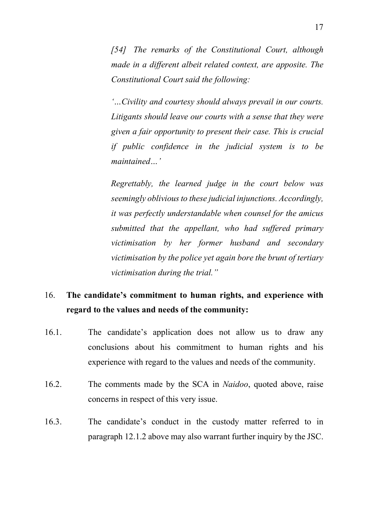*[54] The remarks of the Constitutional Court, although made in a different albeit related context, are apposite. The Constitutional Court said the following:*

*'…Civility and courtesy should always prevail in our courts. Litigants should leave our courts with a sense that they were given a fair opportunity to present their case. This is crucial if public confidence in the judicial system is to be maintained…'*

*Regrettably, the learned judge in the court below was seemingly oblivious to these judicial injunctions. Accordingly, it was perfectly understandable when counsel for the amicus submitted that the appellant, who had suffered primary victimisation by her former husband and secondary victimisation by the police yet again bore the brunt of tertiary victimisation during the trial."*

## 16. **The candidate's commitment to human rights, and experience with regard to the values and needs of the community:**

- 16.1. The candidate's application does not allow us to draw any conclusions about his commitment to human rights and his experience with regard to the values and needs of the community.
- 16.2. The comments made by the SCA in *Naidoo*, quoted above, raise concerns in respect of this very issue.
- 16.3. The candidate's conduct in the custody matter referred to in paragraph 12.1.2 above may also warrant further inquiry by the JSC.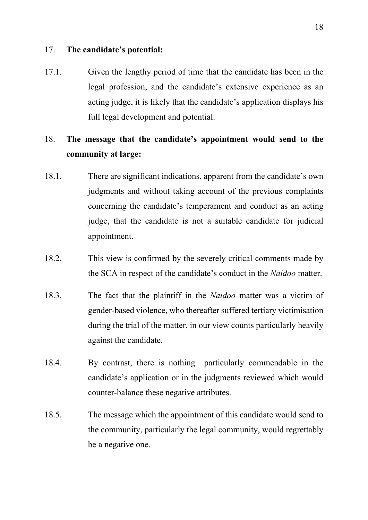### 17. **The candidate's potential:**

17.1. Given the lengthy period of time that the candidate has been in the legal profession, and the candidate's extensive experience as an acting judge, it is likely that the candidate's application displays his full legal development and potential.

## 18. **The message that the candidate's appointment would send to the community at large:**

- 18.1. There are significant indications, apparent from the candidate's own judgments and without taking account of the previous complaints concerning the candidate's temperament and conduct as an acting judge, that the candidate is not a suitable candidate for judicial appointment.
- 18.2. This view is confirmed by the severely critical comments made by the SCA in respect of the candidate's conduct in the *Naidoo* matter.
- 18.3. The fact that the plaintiff in the *Naidoo* matter was a victim of gender-based violence, who thereafter suffered tertiary victimisation during the trial of the matter, in our view counts particularly heavily against the candidate.
- 18.4. By contrast, there is nothing particularly commendable in the candidate's application or in the judgments reviewed which would counter-balance these negative attributes.
- 18.5. The message which the appointment of this candidate would send to the community, particularly the legal community, would regrettably be a negative one.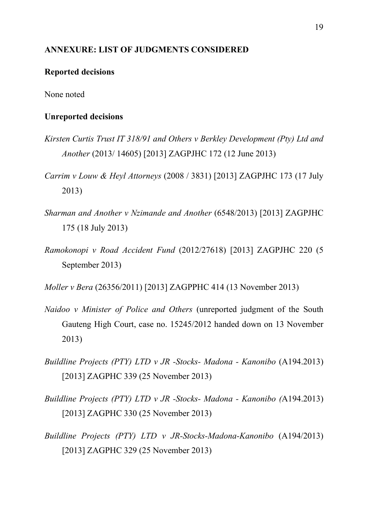### **ANNEXURE: LIST OF JUDGMENTS CONSIDERED**

#### **Reported decisions**

None noted

#### **Unreported decisions**

- *Kirsten Curtis Trust IT 318/91 and Others v Berkley Development (Pty) Ltd and Another* (2013/ 14605) [2013] ZAGPJHC 172 (12 June 2013)
- *Carrim v Louw & Heyl Attorneys* (2008 / 3831) [2013] ZAGPJHC 173 (17 July 2013)
- *Sharman and Another v Nzimande and Another* (6548/2013) [2013] ZAGPJHC 175 (18 July 2013)
- *Ramokonopi v Road Accident Fund* (2012/27618) [2013] ZAGPJHC 220 (5 September 2013)

*Moller v Bera* (26356/2011) [2013] ZAGPPHC 414 (13 November 2013)

- *Naidoo v Minister of Police and Others* (unreported judgment of the South Gauteng High Court, case no. 15245/2012 handed down on 13 November 2013)
- *Buildline Projects (PTY) LTD v JR -Stocks- Madona - Kanonibo* (A194.2013) [2013] ZAGPHC 339 (25 November 2013)
- *Buildline Projects (PTY) LTD v JR -Stocks- Madona - Kanonibo (*A194.2013) [2013] ZAGPHC 330 (25 November 2013)
- *Buildline Projects (PTY) LTD v JR-Stocks-Madona-Kanonibo* (A194/2013) [2013] ZAGPHC 329 (25 November 2013)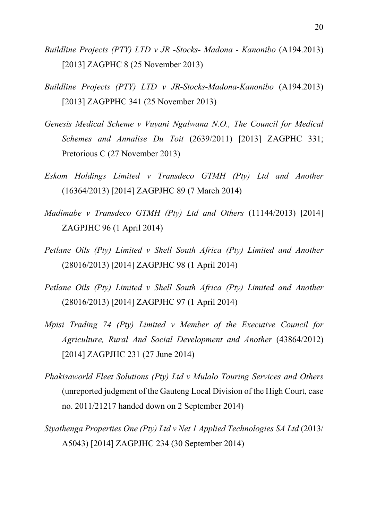- *Buildline Projects (PTY) LTD v JR -Stocks- Madona - Kanonibo* (A194.2013) [2013] ZAGPHC 8 (25 November 2013)
- *Buildline Projects (PTY) LTD v JR-Stocks-Madona-Kanonibo* (A194.2013) [2013] ZAGPPHC 341 (25 November 2013)
- *Genesis Medical Scheme v Vuyani Ngalwana N.O., The Council for Medical Schemes and Annalise Du Toit* (2639/2011) [2013] ZAGPHC 331; Pretorious C (27 November 2013)
- *Eskom Holdings Limited v Transdeco GTMH (Pty) Ltd and Another*  (16364/2013) [2014] ZAGPJHC 89 (7 March 2014)
- *Madimabe v Transdeco GTMH (Pty) Ltd and Others* (11144/2013) [2014] ZAGPJHC 96 (1 April 2014)
- *Petlane Oils (Pty) Limited v Shell South Africa (Pty) Limited and Another*  (28016/2013) [2014] ZAGPJHC 98 (1 April 2014)
- *Petlane Oils (Pty) Limited v Shell South Africa (Pty) Limited and Another*  (28016/2013) [2014] ZAGPJHC 97 (1 April 2014)
- *Mpisi Trading 74 (Pty) Limited v Member of the Executive Council for Agriculture, Rural And Social Development and Another* (43864/2012) [2014] ZAGPJHC 231 (27 June 2014)
- *Phakisaworld Fleet Solutions (Pty) Ltd v Mulalo Touring Services and Others*  (unreported judgment of the Gauteng Local Division of the High Court, case no. 2011/21217 handed down on 2 September 2014)
- *Siyathenga Properties One (Pty) Ltd v Net 1 Applied Technologies SA Ltd* (2013/ A5043) [2014] ZAGPJHC 234 (30 September 2014)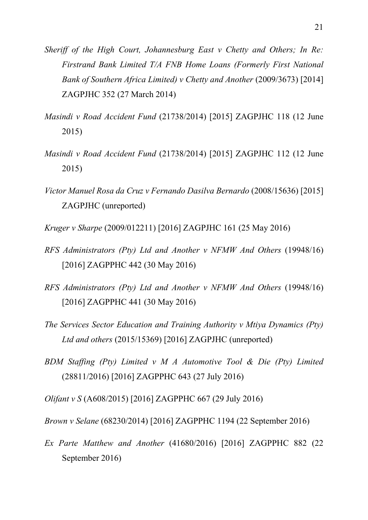- *Sheriff of the High Court, Johannesburg East v Chetty and Others; In Re: Firstrand Bank Limited T/A FNB Home Loans (Formerly First National Bank of Southern Africa Limited) v Chetty and Another (2009/3673)* [2014] ZAGPJHC 352 (27 March 2014)
- *Masindi v Road Accident Fund* (21738/2014) [2015] ZAGPJHC 118 (12 June 2015)
- *Masindi v Road Accident Fund* (21738/2014) [2015] ZAGPJHC 112 (12 June 2015)
- *Victor Manuel Rosa da Cruz v Fernando Dasilva Bernardo* (2008/15636) [2015] ZAGPJHC (unreported)
- *Kruger v Sharpe* (2009/012211) [2016] ZAGPJHC 161 (25 May 2016)
- *RFS Administrators (Pty) Ltd and Another v NFMW And Others* (19948/16) [2016] ZAGPPHC 442 (30 May 2016)
- *RFS Administrators (Pty) Ltd and Another v NFMW And Others* (19948/16) [2016] ZAGPPHC 441 (30 May 2016)
- *The Services Sector Education and Training Authority v Mtiya Dynamics (Pty) Ltd and others* (2015/15369) [2016] ZAGPJHC (unreported)
- *BDM Staffing (Pty) Limited v M A Automotive Tool & Die (Pty) Limited*  (28811/2016) [2016] ZAGPPHC 643 (27 July 2016)

*Olifant v S* (A608/2015) [2016] ZAGPPHC 667 (29 July 2016)

*Brown v Selane* (68230/2014) [2016] ZAGPPHC 1194 (22 September 2016)

*Ex Parte Matthew and Another* (41680/2016) [2016] ZAGPPHC 882 (22 September 2016)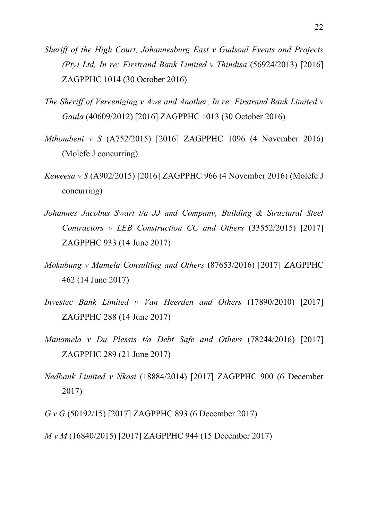- *Sheriff of the High Court, Johannesburg East v Gudsoul Events and Projects (Pty) Ltd, In re: Firstrand Bank Limited v Thindisa* (56924/2013) [2016] ZAGPPHC 1014 (30 October 2016)
- *The Sheriff of Vereeniging v Awe and Another, In re: Firstrand Bank Limited v Gaula* (40609/2012) [2016] ZAGPPHC 1013 (30 October 2016)
- *Mthombeni v S* (A752/2015) [2016] ZAGPPHC 1096 (4 November 2016) (Molefe J concurring)
- *Keweesa v S* (A902/2015) [2016] ZAGPPHC 966 (4 November 2016) (Molefe J concurring)
- *Johannes Jacobus Swart t/a JJ and Company, Building & Structural Steel Contractors v LEB Construction CC and Others* (33552/2015) [2017] ZAGPPHC 933 (14 June 2017)
- *Mokubung v Mamela Consulting and Others* (87653/2016) [2017] ZAGPPHC 462 (14 June 2017)
- *Investec Bank Limited v Van Heerden and Others* (17890/2010) [2017] ZAGPPHC 288 (14 June 2017)
- *Manamela v Du Plessis t/a Debt Safe and Others* (78244/2016) [2017] ZAGPPHC 289 (21 June 2017)
- *Nedbank Limited v Nkosi* (18884/2014) [2017] ZAGPPHC 900 (6 December 2017)

*G v G* (50192/15) [2017] ZAGPPHC 893 (6 December 2017)

*M v M* (16840/2015) [2017] ZAGPPHC 944 (15 December 2017)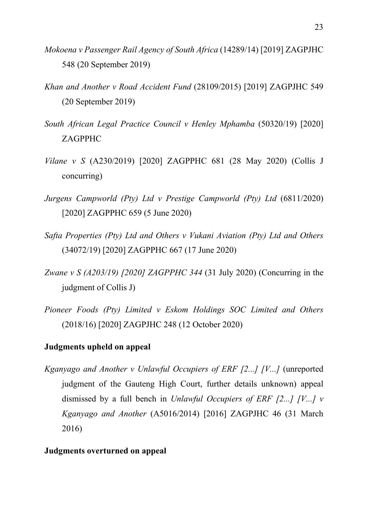- *Mokoena v Passenger Rail Agency of South Africa* (14289/14) [2019] ZAGPJHC 548 (20 September 2019)
- *Khan and Another v Road Accident Fund* (28109/2015) [2019] ZAGPJHC 549 (20 September 2019)
- *South African Legal Practice Council v Henley Mphamba* (50320/19) [2020] ZAGPPHC
- *Vilane v S* (A230/2019) [2020] ZAGPPHC 681 (28 May 2020) (Collis J concurring)
- *Jurgens Campworld (Pty) Ltd v Prestige Campworld (Pty) Ltd* (6811/2020) [2020] ZAGPPHC 659 (5 June 2020)
- *Safta Properties (Pty) Ltd and Others v Vukani Aviation (Pty) Ltd and Others*  (34072/19) [2020] ZAGPPHC 667 (17 June 2020)
- *Zwane v S (A203/19) [2020] ZAGPPHC 344* (31 July 2020) (Concurring in the judgment of Collis J)
- *Pioneer Foods (Pty) Limited v Eskom Holdings SOC Limited and Others*  (2018/16) [2020] ZAGPJHC 248 (12 October 2020)

### **Judgments upheld on appeal**

*Kganyago and Another v Unlawful Occupiers of ERF [2...] [V...]* (unreported judgment of the Gauteng High Court, further details unknown) appeal dismissed by a full bench in *Unlawful Occupiers of ERF [2...] [V...] v Kganyago and Another* (A5016/2014) [2016] ZAGPJHC 46 (31 March 2016)

## **Judgments overturned on appeal**